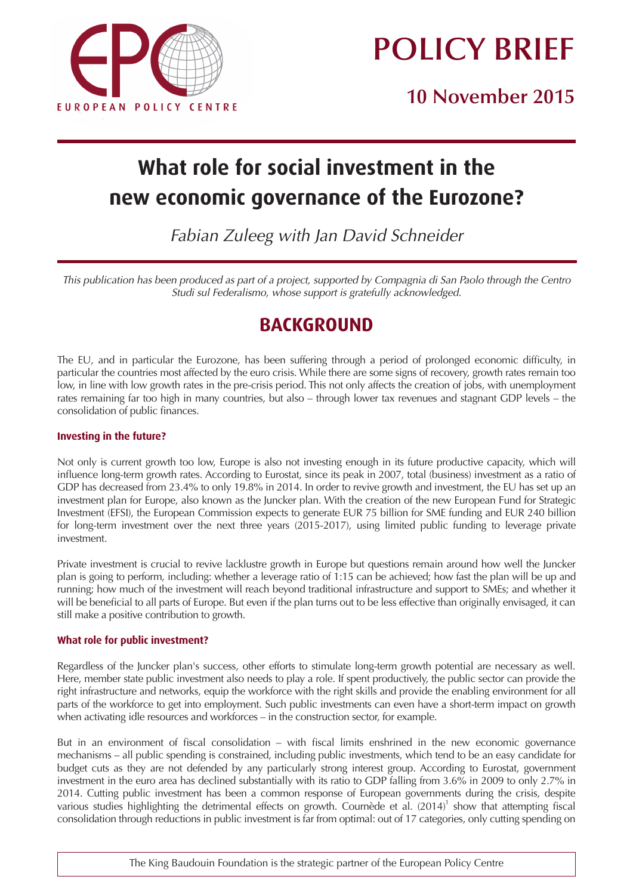



**10 November 2015**

# **What role for social investment in the new economic governance of the Eurozone?**

Fabian Zuleeg with Jan David Schneider

This publication has been produced as part of a project, supported by Compagnia di San Paolo through the Centro Studi sul Federalismo, whose support is gratefully acknowledged.

## **BACKGROUND**

The EU, and in particular the Eurozone, has been suffering through a period of prolonged economic difficulty, in particular the countries most affected by the euro crisis. While there are some signs of recovery, growth rates remain too low, in line with low growth rates in the pre-crisis period. This not only affects the creation of jobs, with unemployment rates remaining far too high in many countries, but also – through lower tax revenues and stagnant GDP levels – the consolidation of public finances.

#### **Investing in the future?**

Not only is current growth too low, Europe is also not investing enough in its future productive capacity, which will influence long-term growth rates. According to Eurostat, since its peak in 2007, total (business) investment as a ratio of GDP has decreased from 23.4% to only 19.8% in 2014. In order to revive growth and investment, the EU has set up an investment plan for Europe, also known as the Juncker plan. With the creation of the new European Fund for Strategic Investment (EFSI), the European Commission expects to generate EUR 75 billion for SME funding and EUR 240 billion for long-term investment over the next three years (2015-2017), using limited public funding to leverage private investment.

Private investment is crucial to revive lacklustre growth in Europe but questions remain around how well the Juncker plan is going to perform, including: whether a leverage ratio of 1:15 can be achieved; how fast the plan will be up and running; how much of the investment will reach beyond traditional infrastructure and support to SMEs; and whether it will be beneficial to all parts of Europe. But even if the plan turns out to be less effective than originally envisaged, it can still make a positive contribution to growth.

#### **What role for public investment?**

Regardless of the Juncker plan's success, other efforts to stimulate long-term growth potential are necessary as well. Here, member state public investment also needs to play a role. If spent productively, the public sector can provide the right infrastructure and networks, equip the workforce with the right skills and provide the enabling environment for all parts of the workforce to get into employment. Such public investments can even have a short-term impact on growth when activating idle resources and workforces – in the construction sector, for example.

But in an environment of fiscal consolidation – with fiscal limits enshrined in the new economic governance mechanisms – all public spending is constrained, including public investments, which tend to be an easy candidate for budget cuts as they are not defended by any particularly strong interest group. According to Eurostat, government investment in the euro area has declined substantially with its ratio to GDP falling from 3.6% in 2009 to only 2.7% in 2014. Cutting public investment has been a common response of European governments during the crisis, despite various studies highlighting the detrimental effects on growth. Cournède et al.  $(2014)^1$  show that attempting fiscal consolidation through reductions in public investment is far from optimal: out of 17 categories, only cutting spending on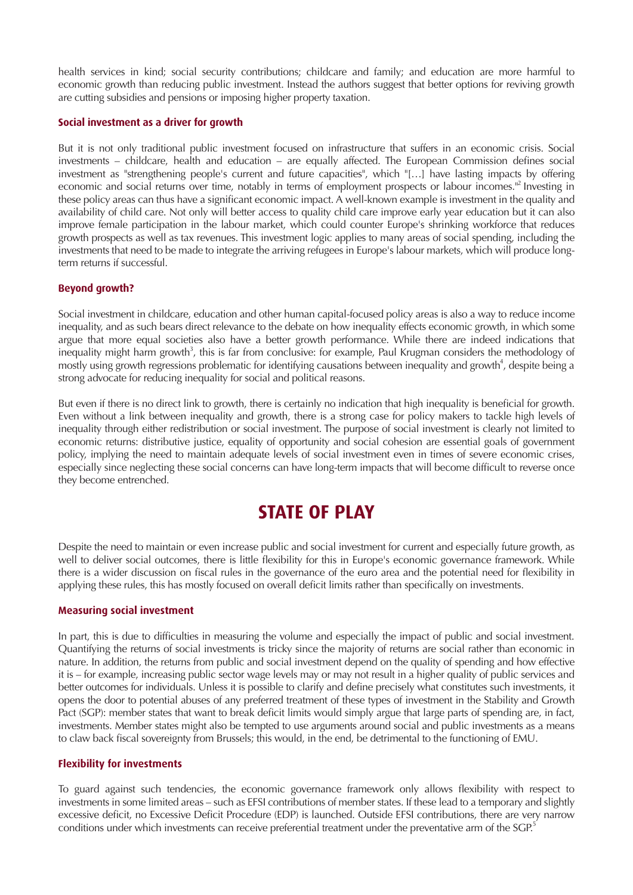health services in kind; social security contributions; childcare and family; and education are more harmful to economic growth than reducing public investment. Instead the authors suggest that better options for reviving growth are cutting subsidies and pensions or imposing higher property taxation.

#### **Social investment as a driver for growth**

But it is not only traditional public investment focused on infrastructure that suffers in an economic crisis. Social investments – childcare, health and education – are equally affected. The European Commission defines social investment as "strengthening people's current and future capacities", which "[…] have lasting impacts by offering economic and social returns over time, notably in terms of employment prospects or labour incomes.<sup>"2</sup> Investing in these policy areas can thus have a significant economic impact. A well-known example is investment in the quality and availability of child care. Not only will better access to quality child care improve early year education but it can also improve female participation in the labour market, which could counter Europe's shrinking workforce that reduces growth prospects as well as tax revenues. This investment logic applies to many areas of social spending, including the investments that need to be made to integrate the arriving refugees in Europe's labour markets, which will produce longterm returns if successful.

#### **Beyond growth?**

Social investment in childcare, education and other human capital-focused policy areas is also a way to reduce income inequality, and as such bears direct relevance to the debate on how inequality effects economic growth, in which some argue that more equal societies also have a better growth performance. While there are indeed indications that inequality might harm growth<sup>3</sup>, this is far from conclusive: for example, Paul Krugman considers the methodology of mostly using growth regressions problematic for identifying causations between inequality and growth<sup>4</sup>, despite being a strong advocate for reducing inequality for social and political reasons.

But even if there is no direct link to growth, there is certainly no indication that high inequality is beneficial for growth. Even without a link between inequality and growth, there is a strong case for policy makers to tackle high levels of inequality through either redistribution or social investment. The purpose of social investment is clearly not limited to economic returns: distributive justice, equality of opportunity and social cohesion are essential goals of government policy, implying the need to maintain adequate levels of social investment even in times of severe economic crises, especially since neglecting these social concerns can have long-term impacts that will become difficult to reverse once they become entrenched.

### **STATE OF PLAY**

Despite the need to maintain or even increase public and social investment for current and especially future growth, as well to deliver social outcomes, there is little flexibility for this in Europe's economic governance framework. While there is a wider discussion on fiscal rules in the governance of the euro area and the potential need for flexibility in applying these rules, this has mostly focused on overall deficit limits rather than specifically on investments.

#### **Measuring social investment**

In part, this is due to difficulties in measuring the volume and especially the impact of public and social investment. Quantifying the returns of social investments is tricky since the majority of returns are social rather than economic in nature. In addition, the returns from public and social investment depend on the quality of spending and how effective it is – for example, increasing public sector wage levels may or may not result in a higher quality of public services and better outcomes for individuals. Unless it is possible to clarify and define precisely what constitutes such investments, it opens the door to potential abuses of any preferred treatment of these types of investment in the Stability and Growth Pact (SGP): member states that want to break deficit limits would simply argue that large parts of spending are, in fact, investments. Member states might also be tempted to use arguments around social and public investments as a means to claw back fiscal sovereignty from Brussels; this would, in the end, be detrimental to the functioning of EMU.

#### **Flexibility for investments**

To guard against such tendencies, the economic governance framework only allows flexibility with respect to investments in some limited areas – such as EFSI contributions of member states. If these lead to a temporary and slightly excessive deficit, no Excessive Deficit Procedure (EDP) is launched. Outside EFSI contributions, there are very narrow conditions under which investments can receive preferential treatment under the preventative arm of the SGP.<sup>5</sup>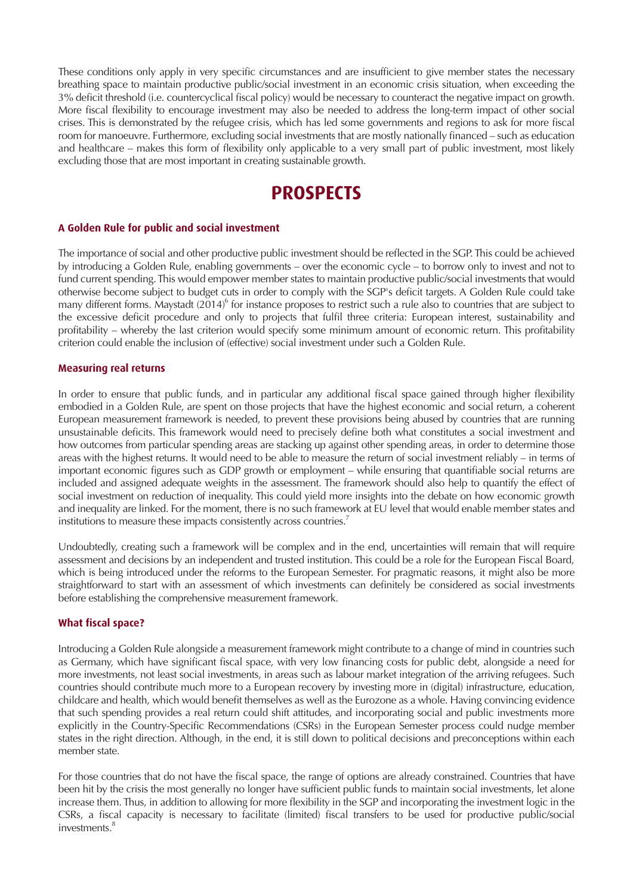These conditions only apply in very specific circumstances and are insufficient to give member states the necessary breathing space to maintain productive public/social investment in an economic crisis situation, when exceeding the 3% deficit threshold (i.e. countercyclical fiscal policy) would be necessary to counteract the negative impact on growth. More fiscal flexibility to encourage investment may also be needed to address the long-term impact of other social crises. This is demonstrated by the refugee crisis, which has led some governments and regions to ask for more fiscal room for manoeuvre. Furthermore, excluding social investments that are mostly nationally financed – such as education and healthcare – makes this form of flexibility only applicable to a very small part of public investment, most likely excluding those that are most important in creating sustainable growth.

### **PROSPECTS**

#### **A Golden Rule for public and social investment**

The importance of social and other productive public investment should be reflected in the SGP. This could be achieved by introducing a Golden Rule, enabling governments – over the economic cycle – to borrow only to invest and not to fund current spending. This would empower member states to maintain productive public/social investments that would otherwise become subject to budget cuts in order to comply with the SGP's deficit targets. A Golden Rule could take many different forms. Maystadt  $(2014)^6$  for instance proposes to restrict such a rule also to countries that are subject to the excessive deficit procedure and only to projects that fulfil three criteria: European interest, sustainability and profitability – whereby the last criterion would specify some minimum amount of economic return. This profitability criterion could enable the inclusion of (effective) social investment under such a Golden Rule.

#### **Measuring real returns**

In order to ensure that public funds, and in particular any additional fiscal space gained through higher flexibility embodied in a Golden Rule, are spent on those projects that have the highest economic and social return, a coherent European measurement framework is needed, to prevent these provisions being abused by countries that are running unsustainable deficits. This framework would need to precisely define both what constitutes a social investment and how outcomes from particular spending areas are stacking up against other spending areas, in order to determine those areas with the highest returns. It would need to be able to measure the return of social investment reliably – in terms of important economic figures such as GDP growth or employment – while ensuring that quantifiable social returns are included and assigned adequate weights in the assessment. The framework should also help to quantify the effect of social investment on reduction of inequality. This could yield more insights into the debate on how economic growth and inequality are linked. For the moment, there is no such framework at EU level that would enable member states and institutions to measure these impacts consistently across countries.<sup>7</sup>

Undoubtedly, creating such a framework will be complex and in the end, uncertainties will remain that will require assessment and decisions by an independent and trusted institution. This could be a role for the European Fiscal Board, which is being introduced under the reforms to the European Semester. For pragmatic reasons, it might also be more straightforward to start with an assessment of which investments can definitely be considered as social investments before establishing the comprehensive measurement framework.

#### **What fiscal space?**

Introducing a Golden Rule alongside a measurement framework might contribute to a change of mind in countries such as Germany, which have significant fiscal space, with very low financing costs for public debt, alongside a need for more investments, not least social investments, in areas such as labour market integration of the arriving refugees. Such countries should contribute much more to a European recovery by investing more in (digital) infrastructure, education, childcare and health, which would benefit themselves as well as the Eurozone as a whole. Having convincing evidence that such spending provides a real return could shift attitudes, and incorporating social and public investments more explicitly in the Country-Specific Recommendations (CSRs) in the European Semester process could nudge member states in the right direction. Although, in the end, it is still down to political decisions and preconceptions within each member state.

For those countries that do not have the fiscal space, the range of options are already constrained. Countries that have been hit by the crisis the most generally no longer have sufficient public funds to maintain social investments, let alone increase them. Thus, in addition to allowing for more flexibility in the SGP and incorporating the investment logic in the CSRs, a fiscal capacity is necessary to facilitate (limited) fiscal transfers to be used for productive public/social investments.<sup>8</sup>